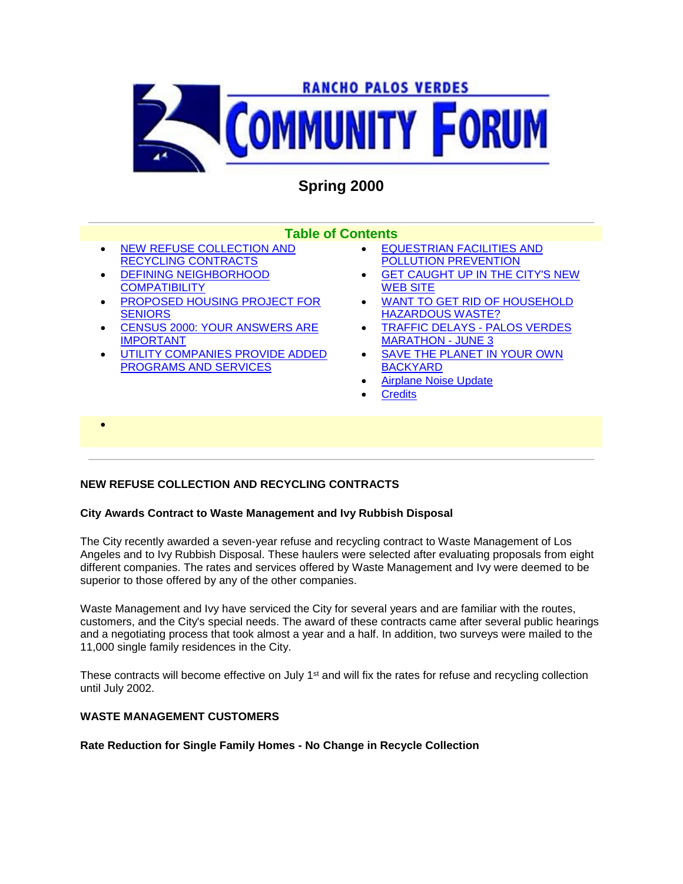

# **Spring 2000**

# **Table of Contents**

- NEW REFUSE COLLECTION AND RECYCLING CONTRACTS
- DEFINING NEIGHBORHOOD **COMPATIBILITY**

 $\bullet$ 

- PROPOSED HOUSING PROJECT FOR **SENIORS**
- CENSUS 2000: YOUR ANSWERS ARE IMPORTANT
- UTILITY COMPANIES PROVIDE ADDED PROGRAMS AND SERVICES
- EQUESTRIAN FACILITIES AND POLLUTION PREVENTION
- GET CAUGHT UP IN THE CITY'S NEW WEB SITE
- WANT TO GET RID OF HOUSEHOLD HAZARDOUS WASTE?
- TRAFFIC DELAYS PALOS VERDES MARATHON - JUNE 3
- SAVE THE PLANET IN YOUR OWN BACKYARD
- Airplane Noise Update
- **Credits**

# **NEW REFUSE COLLECTION AND RECYCLING CONTRACTS**

# **City Awards Contract to Waste Management and Ivy Rubbish Disposal**

The City recently awarded a seven-year refuse and recycling contract to Waste Management of Los Angeles and to Ivy Rubbish Disposal. These haulers were selected after evaluating proposals from eight different companies. The rates and services offered by Waste Management and Ivy were deemed to be superior to those offered by any of the other companies.

Waste Management and Ivy have serviced the City for several years and are familiar with the routes, customers, and the City's special needs. The award of these contracts came after several public hearings and a negotiating process that took almost a year and a half. In addition, two surveys were mailed to the 11,000 single family residences in the City.

These contracts will become effective on July 1<sup>st</sup> and will fix the rates for refuse and recycling collection until July 2002.

# **WASTE MANAGEMENT CUSTOMERS**

**Rate Reduction for Single Family Homes - No Change in Recycle Collection**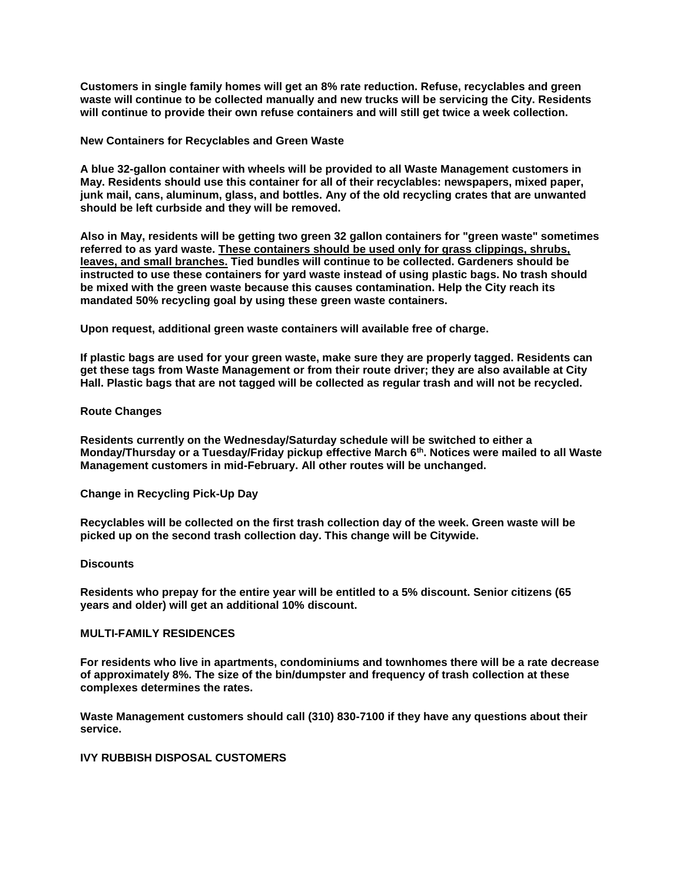**Customers in single family homes will get an 8% rate reduction. Refuse, recyclables and green waste will continue to be collected manually and new trucks will be servicing the City. Residents will continue to provide their own refuse containers and will still get twice a week collection.** 

#### **New Containers for Recyclables and Green Waste**

**A blue 32-gallon container with wheels will be provided to all Waste Management customers in May. Residents should use this container for all of their recyclables: newspapers, mixed paper, junk mail, cans, aluminum, glass, and bottles. Any of the old recycling crates that are unwanted should be left curbside and they will be removed.**

**Also in May, residents will be getting two green 32 gallon containers for "green waste" sometimes referred to as yard waste. These containers should be used only for grass clippings, shrubs, leaves, and small branches. Tied bundles will continue to be collected. Gardeners should be instructed to use these containers for yard waste instead of using plastic bags. No trash should be mixed with the green waste because this causes contamination. Help the City reach its mandated 50% recycling goal by using these green waste containers.**

**Upon request, additional green waste containers will available free of charge.**

**If plastic bags are used for your green waste, make sure they are properly tagged. Residents can get these tags from Waste Management or from their route driver; they are also available at City Hall. Plastic bags that are not tagged will be collected as regular trash and will not be recycled.** 

#### **Route Changes**

**Residents currently on the Wednesday/Saturday schedule will be switched to either a Monday/Thursday or a Tuesday/Friday pickup effective March 6th. Notices were mailed to all Waste Management customers in mid-February. All other routes will be unchanged.** 

# **Change in Recycling Pick-Up Day**

**Recyclables will be collected on the first trash collection day of the week. Green waste will be picked up on the second trash collection day. This change will be Citywide.**

#### **Discounts**

**Residents who prepay for the entire year will be entitled to a 5% discount. Senior citizens (65 years and older) will get an additional 10% discount.** 

#### **MULTI-FAMILY RESIDENCES**

**For residents who live in apartments, condominiums and townhomes there will be a rate decrease of approximately 8%. The size of the bin/dumpster and frequency of trash collection at these complexes determines the rates.** 

**Waste Management customers should call (310) 830-7100 if they have any questions about their service.** 

#### **IVY RUBBISH DISPOSAL CUSTOMERS**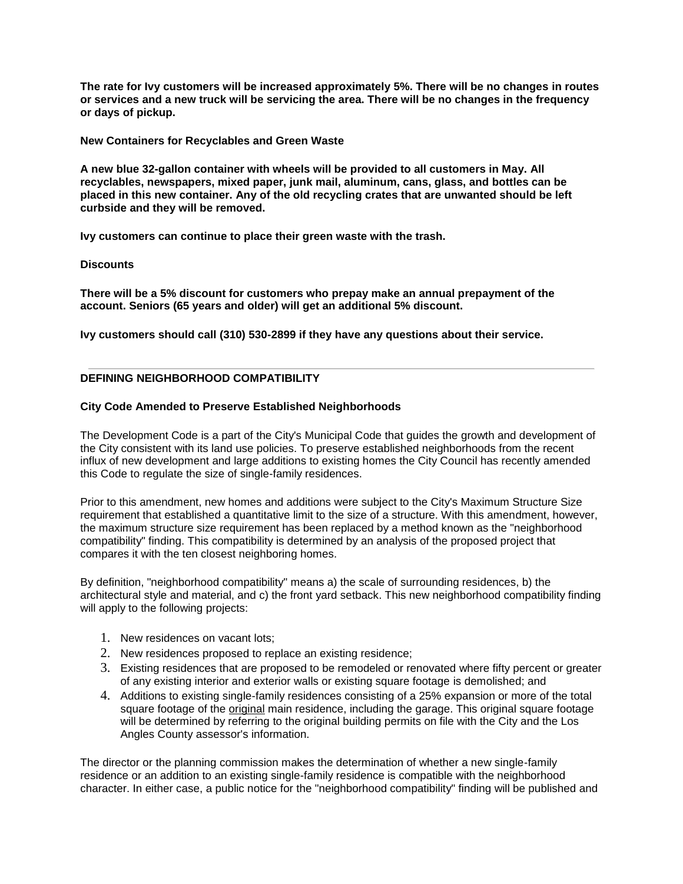**The rate for Ivy customers will be increased approximately 5%. There will be no changes in routes or services and a new truck will be servicing the area. There will be no changes in the frequency or days of pickup.**

**New Containers for Recyclables and Green Waste**

**A new blue 32-gallon container with wheels will be provided to all customers in May. All recyclables, newspapers, mixed paper, junk mail, aluminum, cans, glass, and bottles can be placed in this new container. Any of the old recycling crates that are unwanted should be left curbside and they will be removed.**

**Ivy customers can continue to place their green waste with the trash.**

#### **Discounts**

**There will be a 5% discount for customers who prepay make an annual prepayment of the account. Seniors (65 years and older) will get an additional 5% discount.** 

**Ivy customers should call (310) 530-2899 if they have any questions about their service.** 

# **DEFINING NEIGHBORHOOD COMPATIBILITY**

#### **City Code Amended to Preserve Established Neighborhoods**

The Development Code is a part of the City's Municipal Code that guides the growth and development of the City consistent with its land use policies. To preserve established neighborhoods from the recent influx of new development and large additions to existing homes the City Council has recently amended this Code to regulate the size of single-family residences.

Prior to this amendment, new homes and additions were subject to the City's Maximum Structure Size requirement that established a quantitative limit to the size of a structure. With this amendment, however, the maximum structure size requirement has been replaced by a method known as the "neighborhood compatibility" finding. This compatibility is determined by an analysis of the proposed project that compares it with the ten closest neighboring homes.

By definition, "neighborhood compatibility" means a) the scale of surrounding residences, b) the architectural style and material, and c) the front yard setback. This new neighborhood compatibility finding will apply to the following projects:

- 1. New residences on vacant lots;
- 2. New residences proposed to replace an existing residence;
- 3. Existing residences that are proposed to be remodeled or renovated where fifty percent or greater of any existing interior and exterior walls or existing square footage is demolished; and
- 4. Additions to existing single-family residences consisting of a 25% expansion or more of the total square footage of the original main residence, including the garage. This original square footage will be determined by referring to the original building permits on file with the City and the Los Angles County assessor's information.

The director or the planning commission makes the determination of whether a new single-family residence or an addition to an existing single-family residence is compatible with the neighborhood character. In either case, a public notice for the "neighborhood compatibility" finding will be published and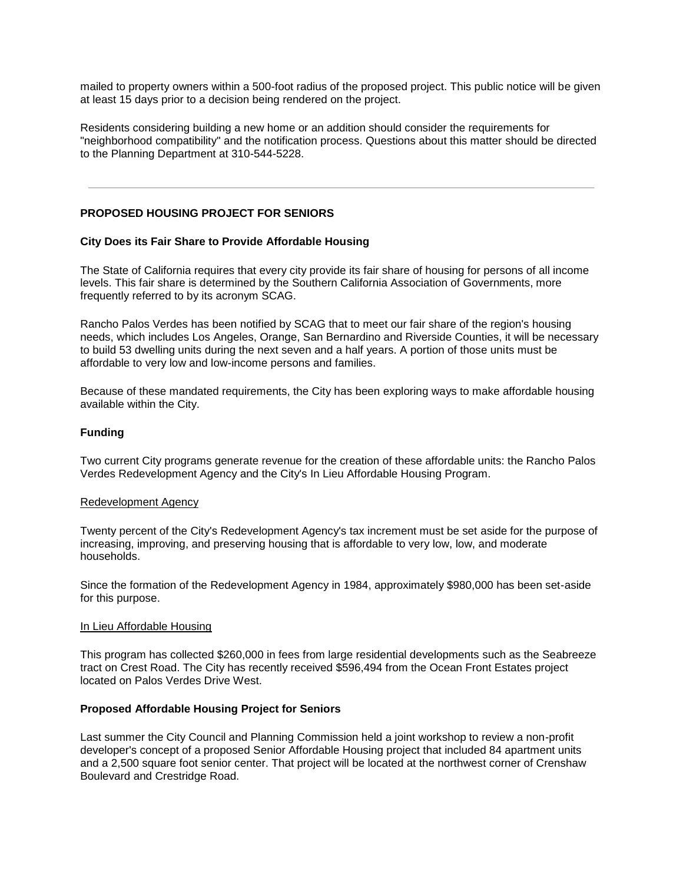mailed to property owners within a 500-foot radius of the proposed project. This public notice will be given at least 15 days prior to a decision being rendered on the project.

Residents considering building a new home or an addition should consider the requirements for "neighborhood compatibility" and the notification process. Questions about this matter should be directed to the Planning Department at 310-544-5228.

# **PROPOSED HOUSING PROJECT FOR SENIORS**

# **City Does its Fair Share to Provide Affordable Housing**

The State of California requires that every city provide its fair share of housing for persons of all income levels. This fair share is determined by the Southern California Association of Governments, more frequently referred to by its acronym SCAG.

Rancho Palos Verdes has been notified by SCAG that to meet our fair share of the region's housing needs, which includes Los Angeles, Orange, San Bernardino and Riverside Counties, it will be necessary to build 53 dwelling units during the next seven and a half years. A portion of those units must be affordable to very low and low-income persons and families.

Because of these mandated requirements, the City has been exploring ways to make affordable housing available within the City.

# **Funding**

Two current City programs generate revenue for the creation of these affordable units: the Rancho Palos Verdes Redevelopment Agency and the City's In Lieu Affordable Housing Program.

#### Redevelopment Agency

Twenty percent of the City's Redevelopment Agency's tax increment must be set aside for the purpose of increasing, improving, and preserving housing that is affordable to very low, low, and moderate households.

Since the formation of the Redevelopment Agency in 1984, approximately \$980,000 has been set-aside for this purpose.

#### In Lieu Affordable Housing

This program has collected \$260,000 in fees from large residential developments such as the Seabreeze tract on Crest Road. The City has recently received \$596,494 from the Ocean Front Estates project located on Palos Verdes Drive West.

#### **Proposed Affordable Housing Project for Seniors**

Last summer the City Council and Planning Commission held a joint workshop to review a non-profit developer's concept of a proposed Senior Affordable Housing project that included 84 apartment units and a 2,500 square foot senior center. That project will be located at the northwest corner of Crenshaw Boulevard and Crestridge Road.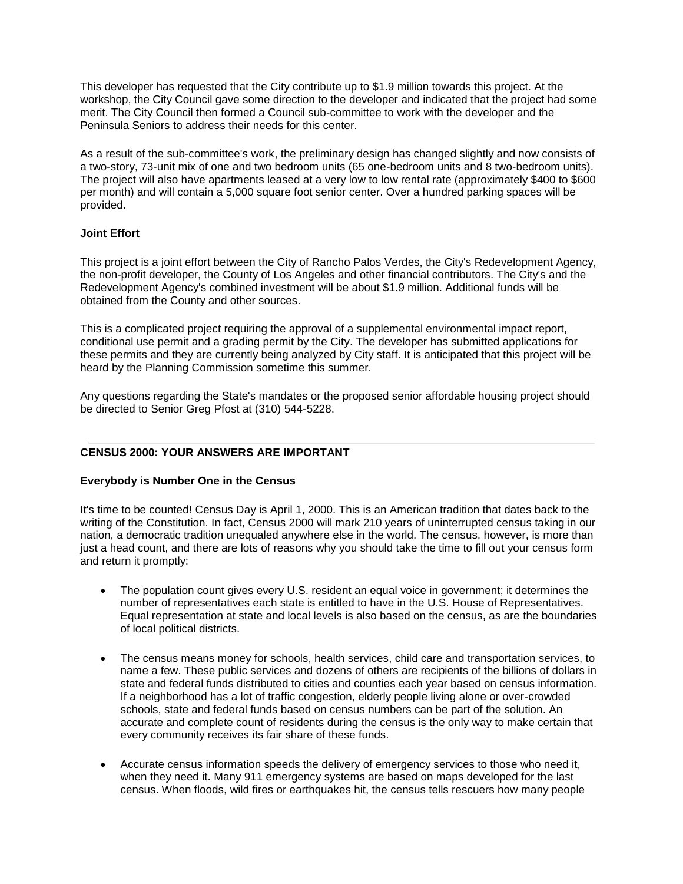This developer has requested that the City contribute up to \$1.9 million towards this project. At the workshop, the City Council gave some direction to the developer and indicated that the project had some merit. The City Council then formed a Council sub-committee to work with the developer and the Peninsula Seniors to address their needs for this center.

As a result of the sub-committee's work, the preliminary design has changed slightly and now consists of a two-story, 73-unit mix of one and two bedroom units (65 one-bedroom units and 8 two-bedroom units). The project will also have apartments leased at a very low to low rental rate (approximately \$400 to \$600 per month) and will contain a 5,000 square foot senior center. Over a hundred parking spaces will be provided.

# **Joint Effort**

This project is a joint effort between the City of Rancho Palos Verdes, the City's Redevelopment Agency, the non-profit developer, the County of Los Angeles and other financial contributors. The City's and the Redevelopment Agency's combined investment will be about \$1.9 million. Additional funds will be obtained from the County and other sources.

This is a complicated project requiring the approval of a supplemental environmental impact report, conditional use permit and a grading permit by the City. The developer has submitted applications for these permits and they are currently being analyzed by City staff. It is anticipated that this project will be heard by the Planning Commission sometime this summer.

Any questions regarding the State's mandates or the proposed senior affordable housing project should be directed to Senior Greg Pfost at (310) 544-5228.

# **CENSUS 2000: YOUR ANSWERS ARE IMPORTANT**

# **Everybody is Number One in the Census**

It's time to be counted! Census Day is April 1, 2000. This is an American tradition that dates back to the writing of the Constitution. In fact, Census 2000 will mark 210 years of uninterrupted census taking in our nation, a democratic tradition unequaled anywhere else in the world. The census, however, is more than just a head count, and there are lots of reasons why you should take the time to fill out your census form and return it promptly:

- The population count gives every U.S. resident an equal voice in government; it determines the number of representatives each state is entitled to have in the U.S. House of Representatives. Equal representation at state and local levels is also based on the census, as are the boundaries of local political districts.
- The census means money for schools, health services, child care and transportation services, to name a few. These public services and dozens of others are recipients of the billions of dollars in state and federal funds distributed to cities and counties each year based on census information. If a neighborhood has a lot of traffic congestion, elderly people living alone or over-crowded schools, state and federal funds based on census numbers can be part of the solution. An accurate and complete count of residents during the census is the only way to make certain that every community receives its fair share of these funds.
- Accurate census information speeds the delivery of emergency services to those who need it, when they need it. Many 911 emergency systems are based on maps developed for the last census. When floods, wild fires or earthquakes hit, the census tells rescuers how many people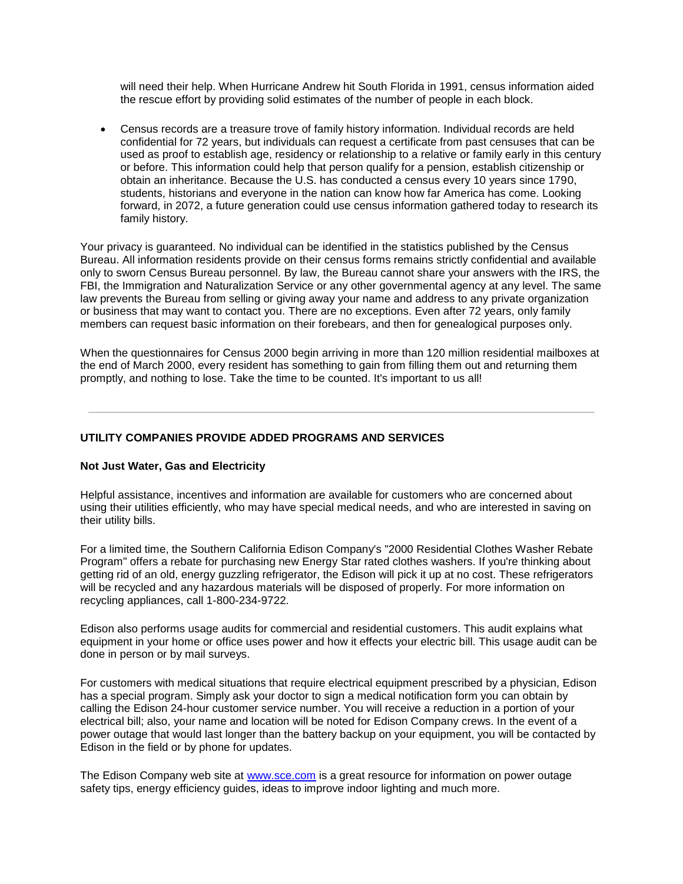will need their help. When Hurricane Andrew hit South Florida in 1991, census information aided the rescue effort by providing solid estimates of the number of people in each block.

 Census records are a treasure trove of family history information. Individual records are held confidential for 72 years, but individuals can request a certificate from past censuses that can be used as proof to establish age, residency or relationship to a relative or family early in this century or before. This information could help that person qualify for a pension, establish citizenship or obtain an inheritance. Because the U.S. has conducted a census every 10 years since 1790, students, historians and everyone in the nation can know how far America has come. Looking forward, in 2072, a future generation could use census information gathered today to research its family history.

Your privacy is guaranteed. No individual can be identified in the statistics published by the Census Bureau. All information residents provide on their census forms remains strictly confidential and available only to sworn Census Bureau personnel. By law, the Bureau cannot share your answers with the IRS, the FBI, the Immigration and Naturalization Service or any other governmental agency at any level. The same law prevents the Bureau from selling or giving away your name and address to any private organization or business that may want to contact you. There are no exceptions. Even after 72 years, only family members can request basic information on their forebears, and then for genealogical purposes only.

When the questionnaires for Census 2000 begin arriving in more than 120 million residential mailboxes at the end of March 2000, every resident has something to gain from filling them out and returning them promptly, and nothing to lose. Take the time to be counted. It's important to us all!

**UTILITY COMPANIES PROVIDE ADDED PROGRAMS AND SERVICES**

# **Not Just Water, Gas and Electricity**

Helpful assistance, incentives and information are available for customers who are concerned about using their utilities efficiently, who may have special medical needs, and who are interested in saving on their utility bills.

For a limited time, the Southern California Edison Company's "2000 Residential Clothes Washer Rebate Program" offers a rebate for purchasing new Energy Star rated clothes washers. If you're thinking about getting rid of an old, energy guzzling refrigerator, the Edison will pick it up at no cost. These refrigerators will be recycled and any hazardous materials will be disposed of properly. For more information on recycling appliances, call 1-800-234-9722.

Edison also performs usage audits for commercial and residential customers. This audit explains what equipment in your home or office uses power and how it effects your electric bill. This usage audit can be done in person or by mail surveys.

For customers with medical situations that require electrical equipment prescribed by a physician, Edison has a special program. Simply ask your doctor to sign a medical notification form you can obtain by calling the Edison 24-hour customer service number. You will receive a reduction in a portion of your electrical bill; also, your name and location will be noted for Edison Company crews. In the event of a power outage that would last longer than the battery backup on your equipment, you will be contacted by Edison in the field or by phone for updates.

The Edison Company web site at www.sce.com is a great resource for information on power outage safety tips, energy efficiency guides, ideas to improve indoor lighting and much more.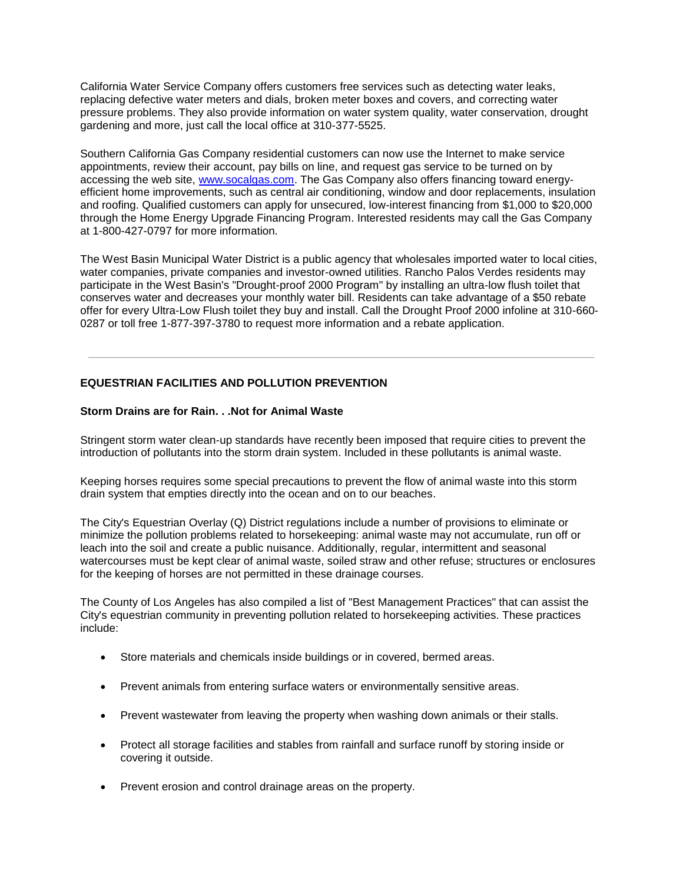California Water Service Company offers customers free services such as detecting water leaks, replacing defective water meters and dials, broken meter boxes and covers, and correcting water pressure problems. They also provide information on water system quality, water conservation, drought gardening and more, just call the local office at 310-377-5525.

Southern California Gas Company residential customers can now use the Internet to make service appointments, review their account, pay bills on line, and request gas service to be turned on by accessing the web site, www.socalgas.com. The Gas Company also offers financing toward energyefficient home improvements, such as central air conditioning, window and door replacements, insulation and roofing. Qualified customers can apply for unsecured, low-interest financing from \$1,000 to \$20,000 through the Home Energy Upgrade Financing Program. Interested residents may call the Gas Company at 1-800-427-0797 for more information.

The West Basin Municipal Water District is a public agency that wholesales imported water to local cities, water companies, private companies and investor-owned utilities. Rancho Palos Verdes residents may participate in the West Basin's "Drought-proof 2000 Program" by installing an ultra-low flush toilet that conserves water and decreases your monthly water bill. Residents can take advantage of a \$50 rebate offer for every Ultra-Low Flush toilet they buy and install. Call the Drought Proof 2000 infoline at 310-660- 0287 or toll free 1-877-397-3780 to request more information and a rebate application.

# **EQUESTRIAN FACILITIES AND POLLUTION PREVENTION**

# **Storm Drains are for Rain. . .Not for Animal Waste**

Stringent storm water clean-up standards have recently been imposed that require cities to prevent the introduction of pollutants into the storm drain system. Included in these pollutants is animal waste.

Keeping horses requires some special precautions to prevent the flow of animal waste into this storm drain system that empties directly into the ocean and on to our beaches.

The City's Equestrian Overlay (Q) District regulations include a number of provisions to eliminate or minimize the pollution problems related to horsekeeping: animal waste may not accumulate, run off or leach into the soil and create a public nuisance. Additionally, regular, intermittent and seasonal watercourses must be kept clear of animal waste, soiled straw and other refuse; structures or enclosures for the keeping of horses are not permitted in these drainage courses.

The County of Los Angeles has also compiled a list of "Best Management Practices" that can assist the City's equestrian community in preventing pollution related to horsekeeping activities. These practices include:

- Store materials and chemicals inside buildings or in covered, bermed areas.
- Prevent animals from entering surface waters or environmentally sensitive areas.
- Prevent wastewater from leaving the property when washing down animals or their stalls.
- Protect all storage facilities and stables from rainfall and surface runoff by storing inside or covering it outside.
- Prevent erosion and control drainage areas on the property.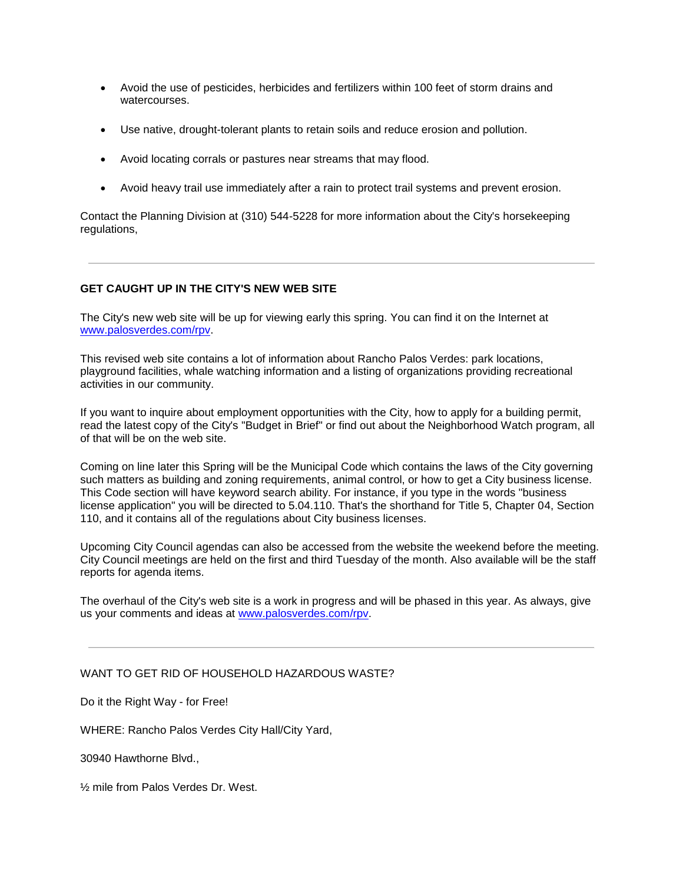- Avoid the use of pesticides, herbicides and fertilizers within 100 feet of storm drains and watercourses.
- Use native, drought-tolerant plants to retain soils and reduce erosion and pollution.
- Avoid locating corrals or pastures near streams that may flood.
- Avoid heavy trail use immediately after a rain to protect trail systems and prevent erosion.

Contact the Planning Division at (310) 544-5228 for more information about the City's horsekeeping regulations,

# **GET CAUGHT UP IN THE CITY'S NEW WEB SITE**

The City's new web site will be up for viewing early this spring. You can find it on the Internet at www.palosverdes.com/rpv.

This revised web site contains a lot of information about Rancho Palos Verdes: park locations, playground facilities, whale watching information and a listing of organizations providing recreational activities in our community.

If you want to inquire about employment opportunities with the City, how to apply for a building permit, read the latest copy of the City's "Budget in Brief" or find out about the Neighborhood Watch program, all of that will be on the web site.

Coming on line later this Spring will be the Municipal Code which contains the laws of the City governing such matters as building and zoning requirements, animal control, or how to get a City business license. This Code section will have keyword search ability. For instance, if you type in the words "business license application" you will be directed to 5.04.110. That's the shorthand for Title 5, Chapter 04, Section 110, and it contains all of the regulations about City business licenses.

Upcoming City Council agendas can also be accessed from the website the weekend before the meeting. City Council meetings are held on the first and third Tuesday of the month. Also available will be the staff reports for agenda items.

The overhaul of the City's web site is a work in progress and will be phased in this year. As always, give us your comments and ideas at www.palosverdes.com/rpv.

# WANT TO GET RID OF HOUSEHOLD HAZARDOUS WASTE?

Do it the Right Way - for Free!

WHERE: Rancho Palos Verdes City Hall/City Yard,

30940 Hawthorne Blvd.,

½ mile from Palos Verdes Dr. West.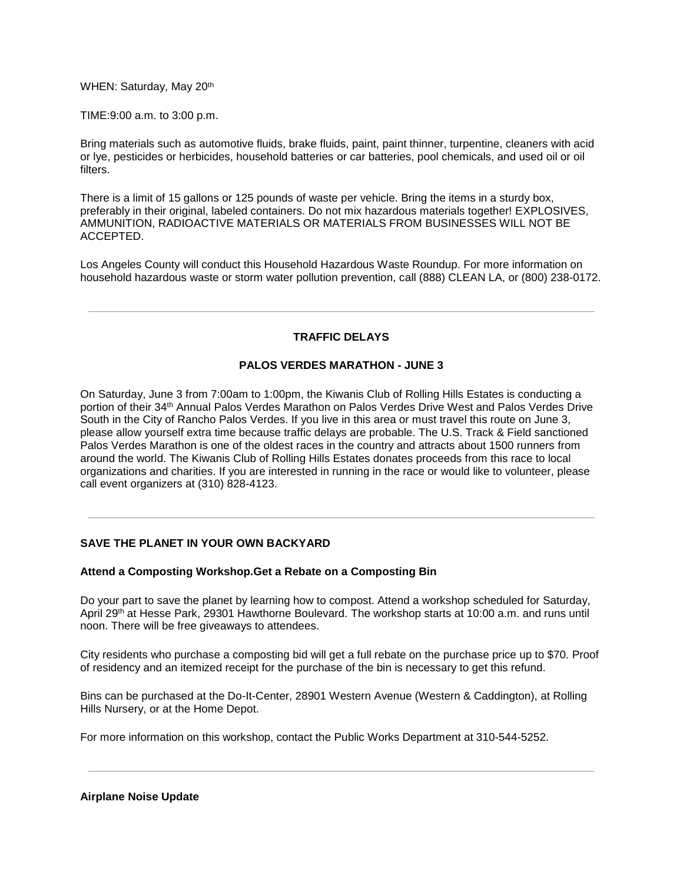WHEN: Saturday, May 20th

TIME:9:00 a.m. to 3:00 p.m.

Bring materials such as automotive fluids, brake fluids, paint, paint thinner, turpentine, cleaners with acid or lye, pesticides or herbicides, household batteries or car batteries, pool chemicals, and used oil or oil filters.

There is a limit of 15 gallons or 125 pounds of waste per vehicle. Bring the items in a sturdy box, preferably in their original, labeled containers. Do not mix hazardous materials together! EXPLOSIVES, AMMUNITION, RADIOACTIVE MATERIALS OR MATERIALS FROM BUSINESSES WILL NOT BE ACCEPTED.

Los Angeles County will conduct this Household Hazardous Waste Roundup. For more information on household hazardous waste or storm water pollution prevention, call (888) CLEAN LA, or (800) 238-0172.

# **TRAFFIC DELAYS**

# **PALOS VERDES MARATHON - JUNE 3**

On Saturday, June 3 from 7:00am to 1:00pm, the Kiwanis Club of Rolling Hills Estates is conducting a portion of their 34th Annual Palos Verdes Marathon on Palos Verdes Drive West and Palos Verdes Drive South in the City of Rancho Palos Verdes. If you live in this area or must travel this route on June 3, please allow yourself extra time because traffic delays are probable. The U.S. Track & Field sanctioned Palos Verdes Marathon is one of the oldest races in the country and attracts about 1500 runners from around the world. The Kiwanis Club of Rolling Hills Estates donates proceeds from this race to local organizations and charities. If you are interested in running in the race or would like to volunteer, please call event organizers at (310) 828-4123.

# **SAVE THE PLANET IN YOUR OWN BACKYARD**

# **Attend a Composting Workshop.Get a Rebate on a Composting Bin**

Do your part to save the planet by learning how to compost. Attend a workshop scheduled for Saturday, April 29th at Hesse Park, 29301 Hawthorne Boulevard. The workshop starts at 10:00 a.m. and runs until noon. There will be free giveaways to attendees.

City residents who purchase a composting bid will get a full rebate on the purchase price up to \$70. Proof of residency and an itemized receipt for the purchase of the bin is necessary to get this refund.

Bins can be purchased at the Do-It-Center, 28901 Western Avenue (Western & Caddington), at Rolling Hills Nursery, or at the Home Depot.

For more information on this workshop, contact the Public Works Department at 310-544-5252.